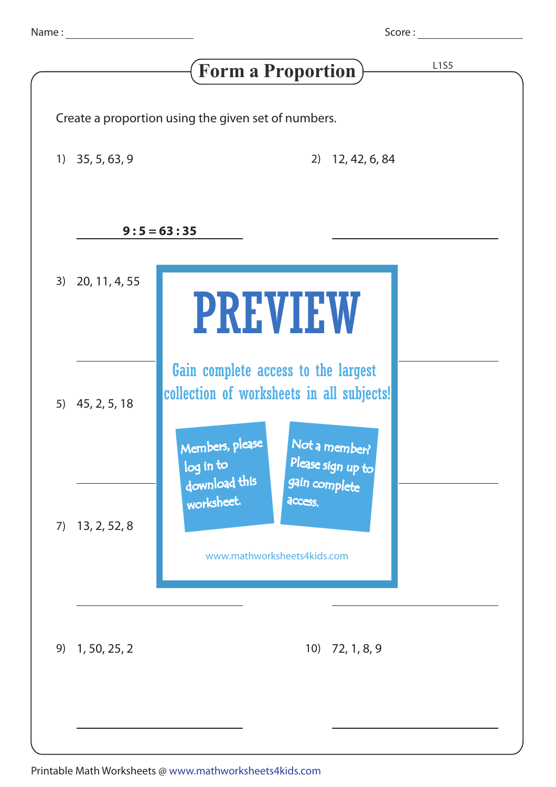